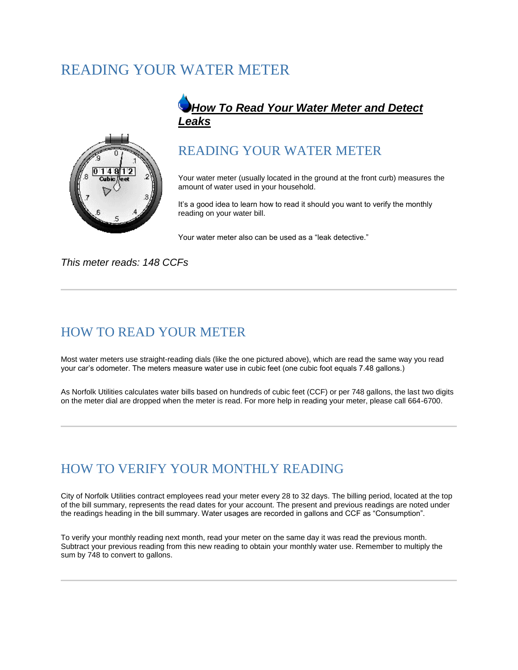# READING YOUR WATER METER



#### *How To Read Your Water Meter and Detect Leaks*

#### READING YOUR WATER METER

Your water meter (usually located in the ground at the front curb) measures the amount of water used in your household.

It's a good idea to learn how to read it should you want to verify the monthly reading on your water bill.

Your water meter also can be used as a "leak detective."

*This meter reads: 148 CCFs*

#### HOW TO READ YOUR METER

Most water meters use straight-reading dials (like the one pictured above), which are read the same way you read your car's odometer. The meters measure water use in cubic feet (one cubic foot equals 7.48 gallons.)

As Norfolk Utilities calculates water bills based on hundreds of cubic feet (CCF) or per 748 gallons, the last two digits on the meter dial are dropped when the meter is read. For more help in reading your meter, please call 664-6700.

### HOW TO VERIFY YOUR MONTHLY READING

City of Norfolk Utilities contract employees read your meter every 28 to 32 days. The billing period, located at the top of the bill summary, represents the read dates for your account. The present and previous readings are noted under the readings heading in the bill summary. Water usages are recorded in gallons and CCF as "Consumption".

To verify your monthly reading next month, read your meter on the same day it was read the previous month. Subtract your previous reading from this new reading to obtain your monthly water use. Remember to multiply the sum by 748 to convert to gallons.